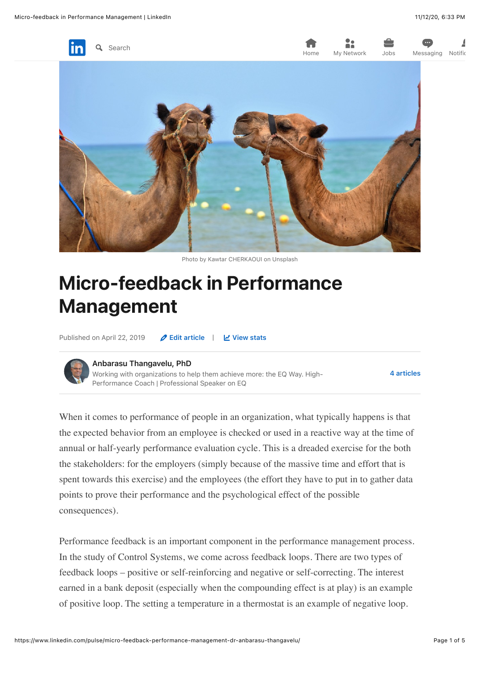

Photo by Kawtar CHERKAOUI on Unsplash

# Micro-feedback in Performance Management

Published on April 22, 2019 **2 [Edit article](https://www.linkedin.com/post/edit/6518634192740421632)** | *d* [View stats](https://www.linkedin.com/pulse/micro-feedback-performance-management-dr-anbarasu-thangavelu/ca/post-analytics/urn:li:linkedInArticle:6518634192740421632/)



#### [Anbarasu Thangavelu, PhD](https://www.linkedin.com/in/anbarasu/)

Working with organizations to help them achieve more: the EQ Way. High-Performance Coach | Professional Speaker on EQ

[4 articles](https://www.linkedin.com/in/anbarasu/detail/recent-activity/posts/)

When it comes to performance of people in an organization, what typically happens is that the expected behavior from an employee is checked or used in a reactive way at the time of annual or half-yearly performance evaluation cycle. This is a dreaded exercise for the both the stakeholders: for the employers (simply because of the massive time and effort that is spent towards this exercise) and the employees (the effort they have to put in to gather data points to prove their performance and the psychological effect of the possible consequences).

Performance feedback is an important component in the performance management process. In the study of Control Systems, we come across feedback loops. There are two types of feedback loops – positive or self-reinforcing and negative or self-correcting. The interest earned in a bank deposit (especially when the compounding effect is at play) is an example of positive loop. The setting a temperature in a thermostat is an example of negative loop.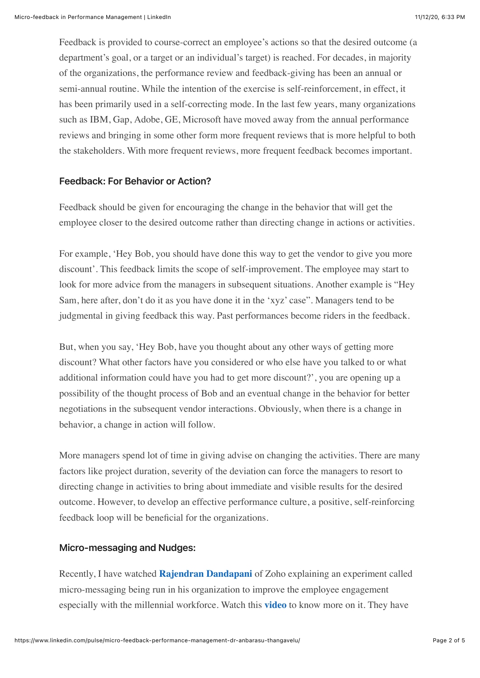Feedback is provided to course-correct an employee's actions so that the desired outcome (a department's goal, or a target or an individual's target) is reached. For decades, in majority of the organizations, the performance review and feedback-giving has been an annual or semi-annual routine. While the intention of the exercise is self-reinforcement, in effect, it has been primarily used in a self-correcting mode. In the last few years, many organizations such as IBM, Gap, Adobe, GE, Microsoft have moved away from the annual performance reviews and bringing in some other form more frequent reviews that is more helpful to both the stakeholders. With more frequent reviews, more frequent feedback becomes important.

# Feedback: For Behavior or Action?

Feedback should be given for encouraging the change in the behavior that will get the employee closer to the desired outcome rather than directing change in actions or activities.

For example, 'Hey Bob, you should have done this way to get the vendor to give you more discount'. This feedback limits the scope of self-improvement. The employee may start to look for more advice from the managers in subsequent situations. Another example is "Hey Sam, here after, don't do it as you have done it in the 'xyz' case". Managers tend to be judgmental in giving feedback this way. Past performances become riders in the feedback.

But, when you say, 'Hey Bob, have you thought about any other ways of getting more discount? What other factors have you considered or who else have you talked to or what additional information could have you had to get more discount?', you are opening up a possibility of the thought process of Bob and an eventual change in the behavior for better negotiations in the subsequent vendor interactions. Obviously, when there is a change in behavior, a change in action will follow.

More managers spend lot of time in giving advise on changing the activities. There are many factors like project duration, severity of the deviation can force the managers to resort to directing change in activities to bring about immediate and visible results for the desired outcome. However, to develop an effective performance culture, a positive, self-reinforcing feedback loop will be beneficial for the organizations.

### Micro-messaging and Nudges:

Recently, I have watched **[Rajendran Dandapani](https://www.linkedin.com/in/rajendran/)** of Zoho explaining an experiment called micro-messaging being run in his organization to improve the employee engagement especially with the millennial workforce. Watch this **[video](https://www.youtube.com/watch?v=Moa4C_VgDVI&t=959s)** to know more on it. They have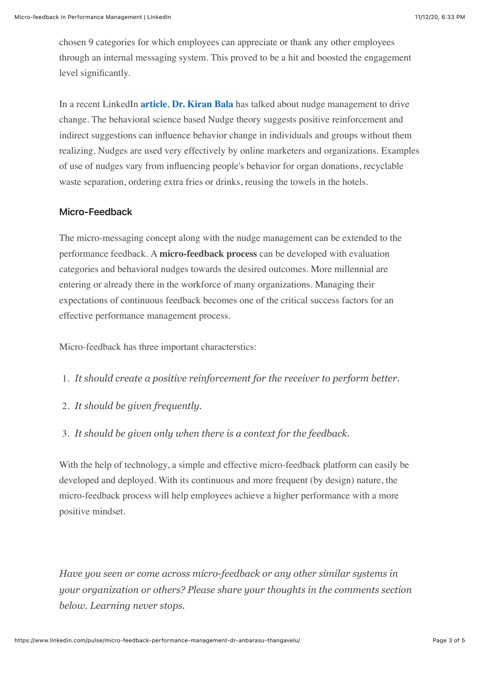chosen 9 categories for which employees can appreciate or thank any other employees through an internal messaging system. This proved to be a hit and boosted the engagement level significantly.

In a recent LinkedIn **[article](https://www.linkedin.com/pulse/want-drive-change-nudge-management-answer-dr-kiran-bala/)**, **[Dr. Kiran Bala](https://www.linkedin.com/in/kiranbalaeqcoach/)** has talked about nudge management to drive change. The behavioral science based Nudge theory suggests positive reinforcement and indirect suggestions can influence behavior change in individuals and groups without them realizing. Nudges are used very effectively by online marketers and organizations. Examples of use of nudges vary from influencing people's behavior for organ donations, recyclable waste separation, ordering extra fries or drinks, reusing the towels in the hotels.

# Micro-Feedback

The micro-messaging concept along with the nudge management can be extended to the performance feedback. A **micro-feedback process** can be developed with evaluation categories and behavioral nudges towards the desired outcomes. More millennial are entering or already there in the workforce of many organizations. Managing their expectations of continuous feedback becomes one of the critical success factors for an effective performance management process.

Micro-feedback has three important characterstics:

- 1. *It should create a positive reinforcement for the receiver to perform better.*
- 2. *It should be given frequently.*
- 3. *It should be given only when there is a context for the feedback.*

With the help of technology, a simple and effective micro-feedback platform can easily be developed and deployed. With its continuous and more frequent (by design) nature, the micro-feedback process will help employees achieve a higher performance with a more positive mindset.

*Have you seen or come across micro-feedback or any other similar systems in your organization or others? Please share your thoughts in the comments section below. Learning never stops.*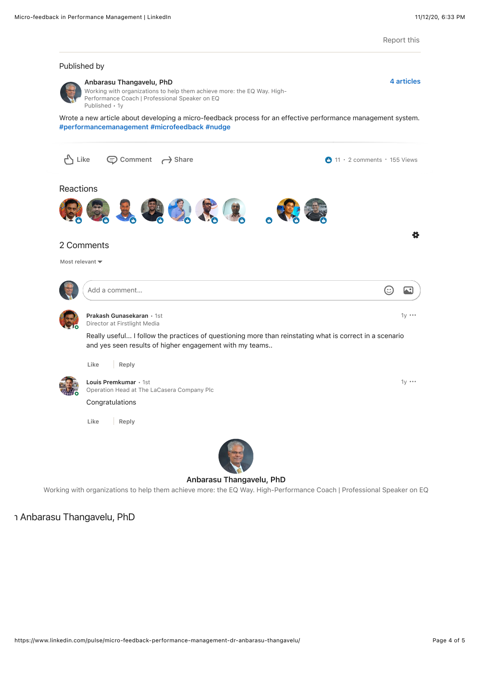Report this

[4 articles](https://www.linkedin.com/in/anbarasu/detail/recent-activity/posts/)

#### Published by



#### [Anbarasu Thangavelu, PhD](https://www.linkedin.com/in/anbarasu/)

Working with organizations to help them achieve more: the EQ Way. High-Performance Coach | Professional Speaker on EQ Published • 1y

[Wrote a new article about de](https://www.linkedin.com/feed/hashtag/?keywords=%23performancemanagement)veloping a micro-feedback process for an effective performance management system. [#performancemanagement](https://www.linkedin.com/feed/hashtag/?keywords=%23microfeedback) #microfeedback #nudge



#### [Anbarasu Thangavelu, PhD](https://www.linkedin.com/in/anbarasu/)

Working with organizations to help them achieve more: the EQ Way. High-Performance Coach | Professional Speaker on EQ

# า Anbarasu Thangavelu, PhD